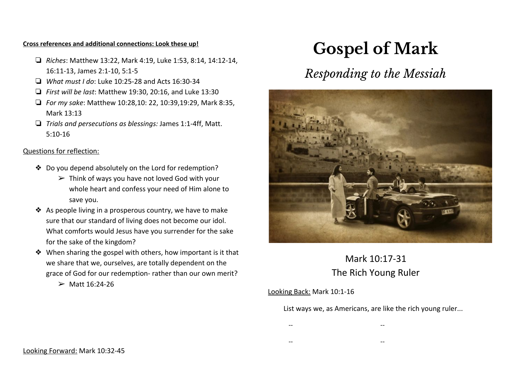#### **Cross references and additional connections: Look these up!**

- ❏ *Riches*: Matthew 13:22, Mark 4:19, Luke 1:53, 8:14, 14:12-14, 16:11-13, James 2:1-10, 5:1-5
- ❏ *What must I do*: Luke 10:25-28 and Acts 16:30-34
- ❏ *First will be last*: Matthew 19:30, 20:16, and Luke 13:30
- ❏ *For my sake*: Matthew 10:28,10: 22, 10:39,19:29, Mark 8:35, Mark 13:13
- ❏ *Trials and persecutions as blessings:* James 1:1-4ff, Matt. 5:10-16

#### Questions for reflection:

- ❖ Do you depend absolutely on the Lord for redemption?
	- $\triangleright$  Think of ways you have not loved God with your whole heart and confess your need of Him alone to save you.
- ❖ As people living in a prosperous country, we have to make sure that our standard of living does not become our idol. What comforts would Jesus have you surrender for the sake for the sake of the kingdom?
- ❖ When sharing the gospel with others, how important is it that we share that we, ourselves, are totally dependent on the grace of God for our redemption- rather than our own merit?
	- $>$  Matt 16:24-26

# **Gospel of Mark**

## *Responding to the Messiah*



### Mark 10:17-31 The Rich Young Ruler

#### Looking Back: Mark 10:1-16

List ways we, as Americans, are like the rich young ruler...

- -- --
- -- --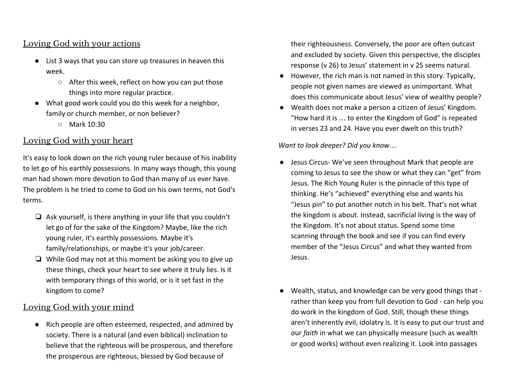#### Loving God with your actions

- List 3 ways that you can store up treasures in heaven this week.
	- After this week, reflect on how you can put those things into more regular practice.
- What good work could you do this week for a neighbor, family or church member, or non believer?
	- Mark 10:30

#### Loving God with your heart

It's easy to look down on the rich young ruler because of his inability to let go of his earthly possessions. In many ways though, this young man had shown more devotion to God than many of us ever have. The problem is he tried to come to God on his own terms, not God's terms.

- ❏ Ask yourself, is there anything in your life that you couldn't let go of for the sake of the Kingdom? Maybe, like the rich young ruler, it's earthly possessions. Maybe it's family/relationships, or maybe it's your job/career.
- ❏ While God may not at this moment be asking you to give up these things, check your heart to see where it truly lies. Is it with temporary things of this world, or is it set fast in the kingdom to come?

#### Loving God with your mind

● Rich people are often esteemed, respected, and admired by society. There is a natural (and even biblical) inclination to believe that the righteous will be prosperous, and therefore the prosperous are righteous, blessed by God because of

their righteousness. Conversely, the poor are often outcast and excluded by society. Given this perspective, the disciples response (v 26) to Jesus' statement in v 25 seems natural.

- However, the rich man is not named in this story. Typically, people not given names are viewed as unimportant. What does this communicate about Jesus' view of wealthy people?
- Wealth does not make a person a citizen of Jesus' Kingdom. "How hard it is … to enter the Kingdom of God" is repeated in verses 23 and 24. Have you ever dwelt on this truth?

#### *Want to look deeper? Did you know*…

- Jesus Circus- We've seen throughout Mark that people are coming to Jesus to see the show or what they can "get" from Jesus. The Rich Young Ruler is the pinnacle of this type of thinking. He's "achieved" everything else and wants his "Jesus pin" to put another notch in his belt. That's not what the kingdom is about. Instead, sacrificial living is the way of the Kingdom. It's not about status. Spend some time scanning through the book and see if you can find every member of the "Jesus Circus" and what they wanted from Jesus.
- Wealth, status, and knowledge can be very good things that rather than keep you from full devotion to God - can help you do work in the kingdom of God. Still, though these things aren't inherently evil, idolatry is. It is easy to put our trust and our *faith* in what we can physically measure (such as wealth or good works) without even realizing it. Look into passages